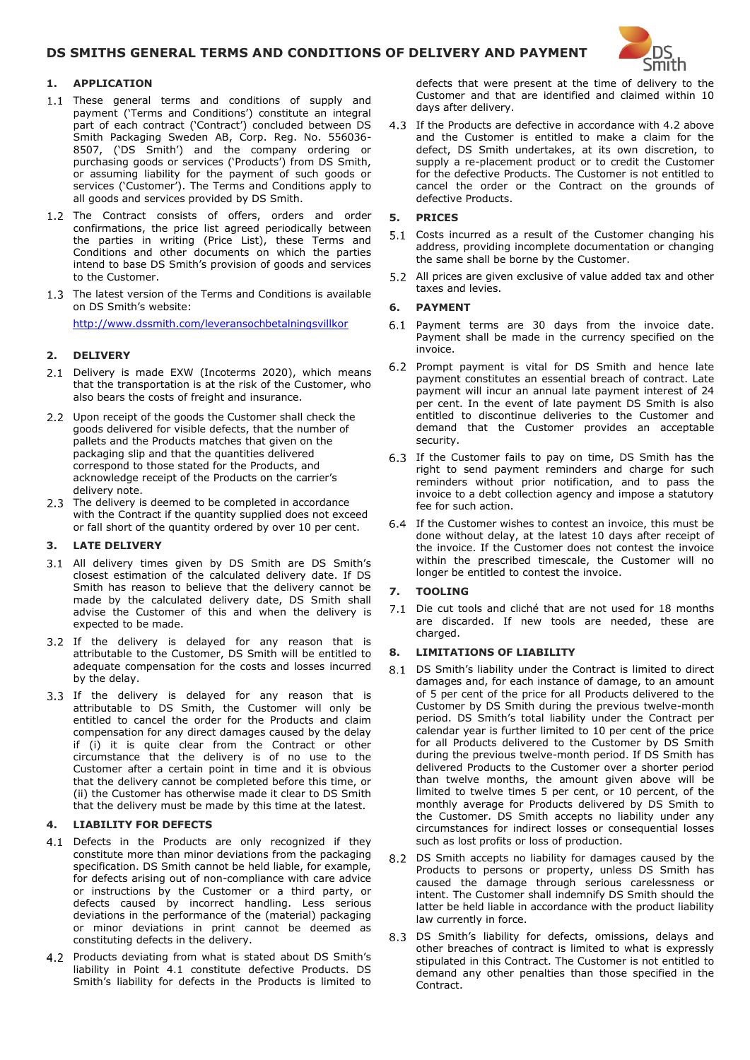# **DS SMITHS GENERAL TERMS AND CONDITIONS OF DELIVERY AND PAYMENT**



## **1. APPLICATION**

- 1.1 These general terms and conditions of supply and payment ('Terms and Conditions') constitute an integral part of each contract ('Contract') concluded between DS Smith Packaging Sweden AB, Corp. Reg. No. 556036- 8507, ('DS Smith') and the company ordering or purchasing goods or services ('Products') from DS Smith, or assuming liability for the payment of such goods or services ('Customer'). The Terms and Conditions apply to all goods and services provided by DS Smith.
- 1.2 The Contract consists of offers, orders and order confirmations, the price list agreed periodically between the parties in writing (Price List), these Terms and Conditions and other documents on which the parties intend to base DS Smith's provision of goods and services to the Customer.
- 1.3 The latest version of the Terms and Conditions is available on DS Smith's website:

<http://www.dssmith.com/leveransochbetalningsvillkor>

# **2. DELIVERY**

- 2.1 Delivery is made EXW (Incoterms 2020), which means that the transportation is at the risk of the Customer, who also bears the costs of freight and insurance.
- 2.2 Upon receipt of the goods the Customer shall check the goods delivered for visible defects, that the number of pallets and the Products matches that given on the packaging slip and that the quantities delivered correspond to those stated for the Products, and acknowledge receipt of the Products on the carrier's delivery note.
- 2.3 The delivery is deemed to be completed in accordance with the Contract if the quantity supplied does not exceed or fall short of the quantity ordered by over 10 per cent.

## **3. LATE DELIVERY**

- 3.1 All delivery times given by DS Smith are DS Smith's closest estimation of the calculated delivery date. If DS Smith has reason to believe that the delivery cannot be made by the calculated delivery date, DS Smith shall advise the Customer of this and when the delivery is expected to be made.
- 3.2 If the delivery is delayed for any reason that is attributable to the Customer, DS Smith will be entitled to adequate compensation for the costs and losses incurred by the delay.
- 3.3 If the delivery is delayed for any reason that is attributable to DS Smith, the Customer will only be entitled to cancel the order for the Products and claim compensation for any direct damages caused by the delay if (i) it is quite clear from the Contract or other circumstance that the delivery is of no use to the Customer after a certain point in time and it is obvious that the delivery cannot be completed before this time, or (ii) the Customer has otherwise made it clear to DS Smith that the delivery must be made by this time at the latest.

# **4. LIABILITY FOR DEFECTS**

- 4.1 Defects in the Products are only recognized if they constitute more than minor deviations from the packaging specification. DS Smith cannot be held liable, for example, for defects arising out of non-compliance with care advice or instructions by the Customer or a third party, or defects caused by incorrect handling. Less serious deviations in the performance of the (material) packaging or minor deviations in print cannot be deemed as constituting defects in the delivery.
- 4.2 Products deviating from what is stated about DS Smith's liability in Point 4.1 constitute defective Products. DS Smith's liability for defects in the Products is limited to

defects that were present at the time of delivery to the Customer and that are identified and claimed within 10 days after delivery.

4.3 If the Products are defective in accordance with 4.2 above and the Customer is entitled to make a claim for the defect, DS Smith undertakes, at its own discretion, to supply a re-placement product or to credit the Customer for the defective Products. The Customer is not entitled to cancel the order or the Contract on the grounds of defective Products.

## **5. PRICES**

- 5.1 Costs incurred as a result of the Customer changing his address, providing incomplete documentation or changing the same shall be borne by the Customer.
- 5.2 All prices are given exclusive of value added tax and other taxes and levies.

### **6. PAYMENT**

- 6.1 Payment terms are 30 days from the invoice date. Payment shall be made in the currency specified on the invoice.
- 6.2 Prompt payment is vital for DS Smith and hence late payment constitutes an essential breach of contract. Late payment will incur an annual late payment interest of 24 per cent. In the event of late payment DS Smith is also entitled to discontinue deliveries to the Customer and demand that the Customer provides an acceptable security.
- 6.3 If the Customer fails to pay on time, DS Smith has the right to send payment reminders and charge for such reminders without prior notification, and to pass the invoice to a debt collection agency and impose a statutory fee for such action.
- 64 If the Customer wishes to contest an invoice, this must be done without delay, at the latest 10 days after receipt of the invoice. If the Customer does not contest the invoice within the prescribed timescale, the Customer will no longer be entitled to contest the invoice.

## **7. TOOLING**

7.1 Die cut tools and cliché that are not used for 18 months are discarded. If new tools are needed, these are charged.

#### **8. LIMITATIONS OF LIABILITY**

- 8.1 DS Smith's liability under the Contract is limited to direct damages and, for each instance of damage, to an amount of 5 per cent of the price for all Products delivered to the Customer by DS Smith during the previous twelve-month period. DS Smith's total liability under the Contract per calendar year is further limited to 10 per cent of the price for all Products delivered to the Customer by DS Smith during the previous twelve-month period. If DS Smith has delivered Products to the Customer over a shorter period than twelve months, the amount given above will be limited to twelve times 5 per cent, or 10 percent, of the monthly average for Products delivered by DS Smith to the Customer. DS Smith accepts no liability under any circumstances for indirect losses or consequential losses such as lost profits or loss of production.
- 8.2 DS Smith accepts no liability for damages caused by the Products to persons or property, unless DS Smith has caused the damage through serious carelessness or intent. The Customer shall indemnify DS Smith should the latter be held liable in accordance with the product liability law currently in force.
- 8.3 DS Smith's liability for defects, omissions, delays and other breaches of contract is limited to what is expressly stipulated in this Contract. The Customer is not entitled to demand any other penalties than those specified in the Contract.